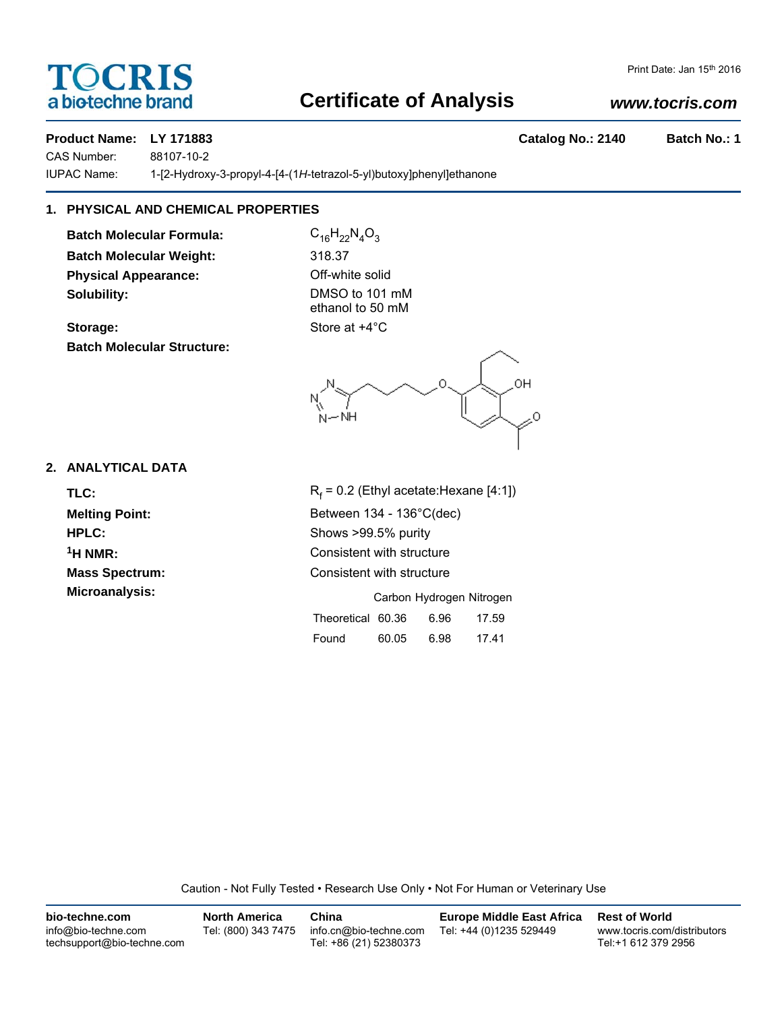# TOCRIS a biotechne brand

# **Certificate of Analysis**

# *www.tocris.com*

# **Product Name: LY 171883 Catalog No.: 2140 Batch No.: 1**

CAS Number: 88107-10-2

IUPAC Name: 1-[2-Hydroxy-3-propyl-4-[4-(1*H*-tetrazol-5-yl)butoxy]phenyl]ethanone

# **1. PHYSICAL AND CHEMICAL PROPERTIES**

**Batch Molecular Formula:** C<sub>16</sub>H<sub>22</sub>N<sub>4</sub>O<sub>3</sub> **Batch Molecular Weight:** 318.37 **Physical Appearance:** Off-white solid **Solubility:** DMSO to 101 mM

**Batch Molecular Structure:**

ethanol to 50 mM **Storage:** Store at  $+4^{\circ}$ C

0H ۰NH

# **2. ANALYTICAL DATA**

TLC: R<sub>f</sub>

 $R_f$  = 0.2 (Ethyl acetate: Hexane [4:1]) **Melting Point:** Between 134 - 136°C(dec) **HPLC:** Shows >99.5% purity **1H NMR:** Consistent with structure **Mass Spectrum:** Consistent with structure **Microanalysis:** Carbon Hydrogen Nitrogen Theoretical 60.36 6.96 17.59 Found 60.05 6.98 17.41

Caution - Not Fully Tested • Research Use Only • Not For Human or Veterinary Use

| bio-techne.com                                    | <b>North America</b> | China                                            | <b>Europe Middle East Africa</b> | <b>Rest of World</b>                               |
|---------------------------------------------------|----------------------|--------------------------------------------------|----------------------------------|----------------------------------------------------|
| info@bio-techne.com<br>techsupport@bio-techne.com | Tel: (800) 343 7475  | info.cn@bio-techne.com<br>Tel: +86 (21) 52380373 | Tel: +44 (0)1235 529449          | www.tocris.com/distributors<br>Tel:+1 612 379 2956 |